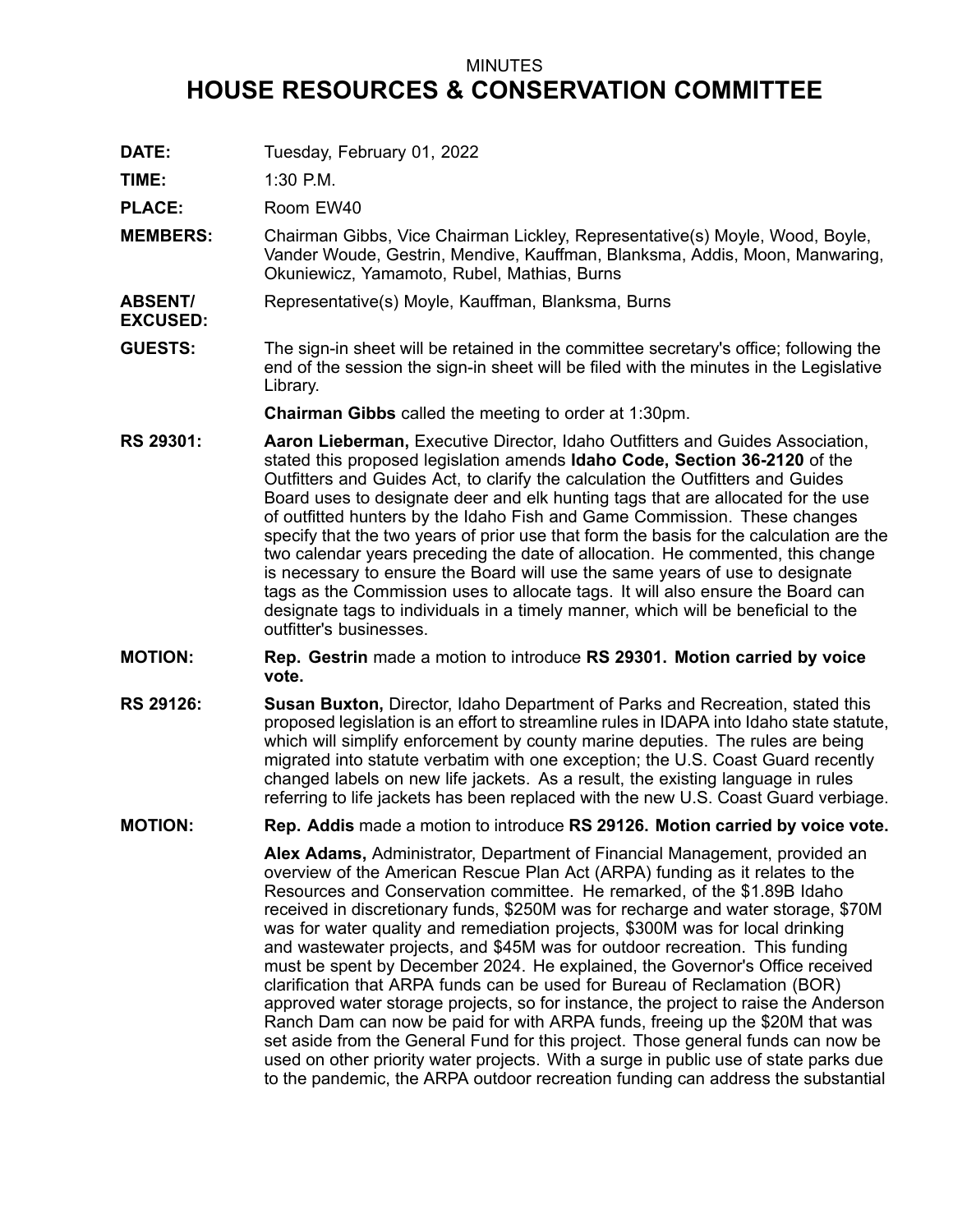## MINUTES **HOUSE RESOURCES & CONSERVATION COMMITTEE**

**DATE:** Tuesday, February 01, 2022

**TIME:** 1:30 P.M.

**PLACE:** Room EW40

**MEMBERS:** Chairman Gibbs, Vice Chairman Lickley, Representative(s) Moyle, Wood, Boyle, Vander Woude, Gestrin, Mendive, Kauffman, Blanksma, Addis, Moon, Manwaring, Okuniewicz, Yamamoto, Rubel, Mathias, Burns

**ABSENT/ EXCUSED:** Representative(s) Moyle, Kauffman, Blanksma, Burns

**GUESTS:** The sign-in sheet will be retained in the committee secretary's office; following the end of the session the sign-in sheet will be filed with the minutes in the Legislative Library.

**Chairman Gibbs** called the meeting to order at 1:30pm.

- **RS 29301: Aaron Lieberman,** Executive Director, Idaho Outfitters and Guides Association, stated this proposed legislation amends **Idaho Code, Section 36-2120** of the Outfitters and Guides Act, to clarify the calculation the Outfitters and Guides Board uses to designate deer and elk hunting tags that are allocated for the use of outfitted hunters by the Idaho Fish and Game Commission. These changes specify that the two years of prior use that form the basis for the calculation are the two calendar years preceding the date of allocation. He commented, this change is necessary to ensure the Board will use the same years of use to designate tags as the Commission uses to allocate tags. It will also ensure the Board can designate tags to individuals in <sup>a</sup> timely manner, which will be beneficial to the outfitter's businesses.
- **MOTION: Rep. Gestrin** made <sup>a</sup> motion to introduce **RS 29301. Motion carried by voice vote.**
- **RS 29126: Susan Buxton,** Director, Idaho Department of Parks and Recreation, stated this proposed legislation is an effort to streamline rules in IDAPA into Idaho state statute, which will simplify enforcement by county marine deputies. The rules are being migrated into statute verbatim with one exception; the U.S. Coast Guard recently changed labels on new life jackets. As <sup>a</sup> result, the existing language in rules referring to life jackets has been replaced with the new U.S. Coast Guard verbiage.

**MOTION: Rep. Addis** made <sup>a</sup> motion to introduce **RS 29126. Motion carried by voice vote.**

**Alex Adams,** Administrator, Department of Financial Management, provided an overview of the American Rescue Plan Act (ARPA) funding as it relates to the Resources and Conservation committee. He remarked, of the \$1.89B Idaho received in discretionary funds, \$250M was for recharge and water storage, \$70M was for water quality and remediation projects, \$300M was for local drinking and wastewater projects, and \$45M was for outdoor recreation. This funding must be spent by December 2024. He explained, the Governor's Office received clarification that ARPA funds can be used for Bureau of Reclamation (BOR) approved water storage projects, so for instance, the project to raise the Anderson Ranch Dam can now be paid for with ARPA funds, freeing up the \$20M that was set aside from the General Fund for this project. Those general funds can now be used on other priority water projects. With <sup>a</sup> surge in public use of state parks due to the pandemic, the ARPA outdoor recreation funding can address the substantial